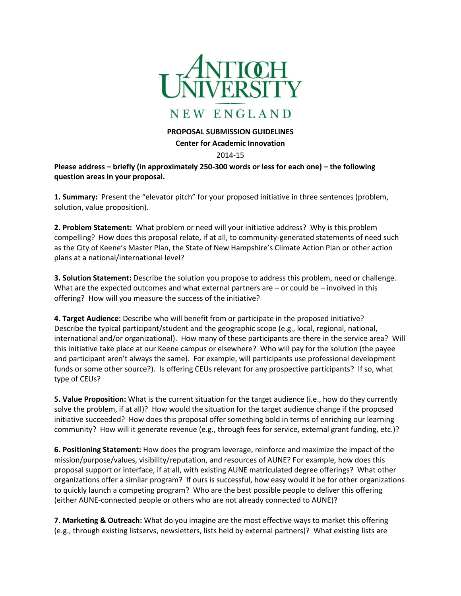

## NEW ENGLAND

## **PROPOSAL SUBMISSION GUIDELINES**

## **Center for Academic Innovation**

## 2014-15

**Please address – briefly (in approximately 250-300 words or less for each one) – the following question areas in your proposal.** 

**1. Summary:** Present the "elevator pitch" for your proposed initiative in three sentences (problem, solution, value proposition).

**2. Problem Statement:** What problem or need will your initiative address? Why is this problem compelling? How does this proposal relate, if at all, to community-generated statements of need such as the City of Keene's Master Plan, the State of New Hampshire's Climate Action Plan or other action plans at a national/international level?

**3. Solution Statement:** Describe the solution you propose to address this problem, need or challenge. What are the expected outcomes and what external partners are – or could be – involved in this offering? How will you measure the success of the initiative?

**4. Target Audience:** Describe who will benefit from or participate in the proposed initiative? Describe the typical participant/student and the geographic scope (e.g., local, regional, national, international and/or organizational). How many of these participants are there in the service area? Will this initiative take place at our Keene campus or elsewhere? Who will pay for the solution (the payee and participant aren't always the same). For example, will participants use professional development funds or some other source?). Is offering CEUs relevant for any prospective participants? If so, what type of CEUs?

**5. Value Proposition:** What is the current situation for the target audience (i.e., how do they currently solve the problem, if at all)? How would the situation for the target audience change if the proposed initiative succeeded? How does this proposal offer something bold in terms of enriching our learning community? How will it generate revenue (e.g., through fees for service, external grant funding, etc.)?

**6. Positioning Statement:** How does the program leverage, reinforce and maximize the impact of the mission/purpose/values, visibility/reputation, and resources of AUNE? For example, how does this proposal support or interface, if at all, with existing AUNE matriculated degree offerings? What other organizations offer a similar program? If ours is successful, how easy would it be for other organizations to quickly launch a competing program? Who are the best possible people to deliver this offering (either AUNE-connected people or others who are not already connected to AUNE)?

**7. Marketing & Outreach:** What do you imagine are the most effective ways to market this offering (e.g., through existing listservs, newsletters, lists held by external partners)? What existing lists are